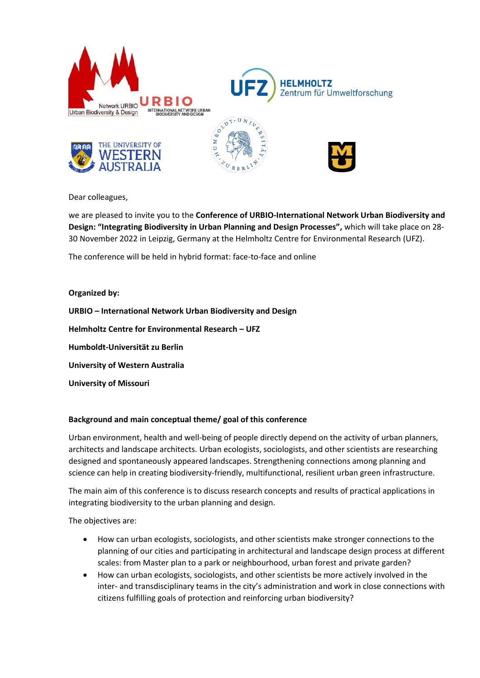









Dear colleagues,

we are pleased to invite you to the **Conference of URBIO-International Network Urban Biodiversity and Design: "Integrating Biodiversity in Urban Planning and Design Processes",** which will take place on 28- 30 November 2022 in Leipzig, Germany at the Helmholtz Centre for Environmental Research (UFZ).

The conference will be held in hybrid format: face-to-face and online

**Organized by:** 

**URBIO – International Network Urban Biodiversity and Design**

**Helmholtz Centre for Environmental Research – UFZ**

**Humboldt-Universität zu Berlin**

**University of Western Australia**

**University of Missouri**

# **Background and main conceptual theme/ goal of this conference**

Urban environment, health and well-being of people directly depend on the activity of urban planners, architects and landscape architects. Urban ecologists, sociologists, and other scientists are researching designed and spontaneously appeared landscapes. Strengthening connections among planning and science can help in creating biodiversity-friendly, multifunctional, resilient urban green infrastructure.

The main aim of this conference is to discuss research concepts and results of practical applications in integrating biodiversity to the urban planning and design.

The objectives are:

- How can urban ecologists, sociologists, and other scientists make stronger connections to the planning of our cities and participating in architectural and landscape design process at different scales: from Master plan to a park or neighbourhood, urban forest and private garden?
- How can urban ecologists, sociologists, and other scientists be more actively involved in the inter- and transdisciplinary teams in the city's administration and work in close connections with citizens fulfilling goals of protection and reinforcing urban biodiversity?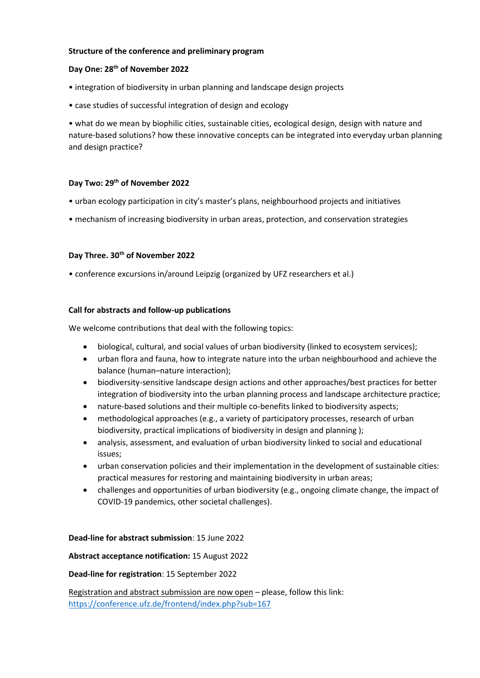## **Structure of the conference and preliminary program**

## **Day One: 28 th of November 2022**

- integration of biodiversity in urban planning and landscape design projects
- case studies of successful integration of design and ecology

• what do we mean by biophilic cities, sustainable cities, ecological design, design with nature and nature-based solutions? how these innovative concepts can be integrated into everyday urban planning and design practice?

## **Day Two: 29 th of November 2022**

- urban ecology participation in city's master's plans, neighbourhood projects and initiatives
- mechanism of increasing biodiversity in urban areas, protection, and conservation strategies

## **Day Three. 30th of November 2022**

• conference excursions in/around Leipzig (organized by UFZ researchers et al.)

## **Call for abstracts and follow-up publications**

We welcome contributions that deal with the following topics:

- biological, cultural, and social values of urban biodiversity (linked to ecosystem services);
- urban flora and fauna, how to integrate nature into the urban neighbourhood and achieve the balance (human–nature interaction);
- biodiversity-sensitive landscape design actions and other approaches/best practices for better integration of biodiversity into the urban planning process and landscape architecture practice;
- nature-based solutions and their multiple co-benefits linked to biodiversity aspects;
- methodological approaches (e.g., a variety of participatory processes, research of urban biodiversity, practical implications of biodiversity in design and planning );
- analysis, assessment, and evaluation of urban biodiversity linked to social and educational issues;
- urban conservation policies and their implementation in the development of sustainable cities: practical measures for restoring and maintaining biodiversity in urban areas;
- challenges and opportunities of urban biodiversity (e.g., ongoing climate change, the impact of COVID-19 pandemics, other societal challenges).

#### **Dead-line for abstract submission**: 15 June 2022

#### **Abstract acceptance notification:** 15 August 2022

#### **Dead-line for registration**: 15 September 2022

Registration and abstract submission are now open – please, follow this link: <https://conference.ufz.de/frontend/index.php?sub=167>